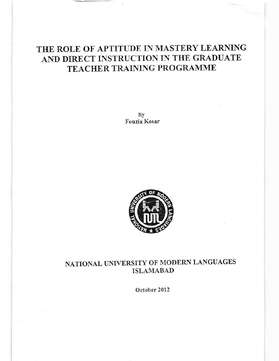# THE ROLE OF APTITUDE IN MASTERY LEARNING AND DIRECT INSTRUCTION IN THE GRADUATE TEACHER TRAINING PROGRAMME

By Fouzia Kosar



## NATIONAL UNIVERSITY OF MODERN LANGUAGES **ISLAMABAD**

October 2012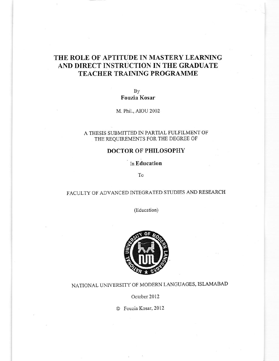### THE ROLE OF APTITUDE IN MASTERY LEARNING AND DIRECT INSTRUCTION IN THE GRADUATE TEACHER TRAINING PROGRAMME

By Fouzia Kosar

M. Phil., AIOU 2002

#### A THESIS SUBMITTED IN PARTIAL FULFILMENT OF THE REQUIREMENTS FOR THE DEGREE OF

### DOCTOR OF PHILOSOPHY

In Education

To

### FACULTY OF ADVANCED INTEGRATED STUDIES AND RESEARCH

(Education)



## NATIONAL UNIVERSITY OF MODERN LANGUAGES, ISLAMABAD

October 2012

O Fouzix Kosar, 2012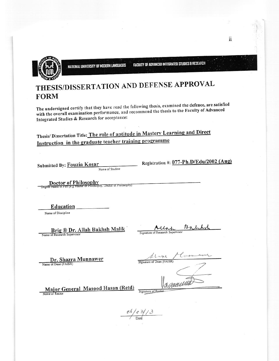

NATIONAL UNIVERSITY OF MODERN LANGUAGES

**FACULTY OF ADVANCED INTEGRATED STUDIES & RESEARCH** 

# THESIS/DISSERTATION AND DEFENSE APPROVAL **FORM**

The undersigned certify that they have read the following thesis, examined the defence, are satisfied with the overall examination performance, and recommend the thesis to the Faculty of Advanced Integrated Studies & Research for acceptance:

Thesis/ Dissertation Title: The role of aptitude in Mastery Learning and Direct Instruction in the graduate teacher training programme

Submitted By: Fouzia Kosar Name of Student Registration #: 077-Ph.D/Edu/2002 (Aug)

Doctor of Philosophy (e.g Master of Philosophy, Doctor of Philosophy) Degree Name in Full

Education

Name of Discipline

Brig ® Dr. Allah Bakhsh Malik Name of Research Supervisor

13 N Allah

Signature of Research Supervisor

Dr. Shazra Munnawer Name of Dean (FAISR)

Signature of Dean (FAISR)

Major General Masood Hasan (Retd) Name of Rector

 $\frac{66}{0}$  o 3/3

Signature of Recto

ii.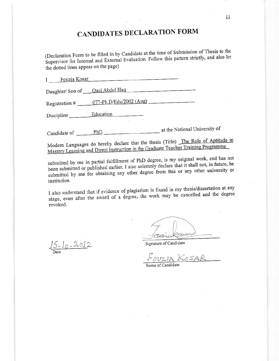## **CANDIDATES DECLARATION FORM**

(Declaration Form to be filled in by Candidate at the time of Submission of Thesis to the Supervisor for Internal and External Evaluation. Follow this pattern strictly, and also let the dotted lines appear on the page)

| Fouzia Kosar                   |                         |                               |
|--------------------------------|-------------------------|-------------------------------|
| Daughter/Son of Qazi Abdul Haq |                         |                               |
| Registration #                 | 077-Ph.D/Edu/2002 (Aug) |                               |
| Discipline _                   | Education               |                               |
| Candidate of                   | PhD                     | at the National University of |

Modern Languages do hereby declare that the thesis (Title) The Role of Aptitude in Mastery Learning and Direct Instruction in the Graduate Teacher Training Programme

submitted by me in partial fulfillment of PhD degree, is my original work, and has not been submitted or published earlier. I also solemnly declare that it shall not, in future, be submitted by me for obtaining any other degree from this or any other university or institution.

I also understand that if evidence of plagiarism is found in my thesis/dissertation at any stage, even after the award of a degree, the work may be cancelled and the degree revoked.

 $15 - 10 - 2012$ 

sensa aus

Signature of Candidate

FOUZIA KOSAR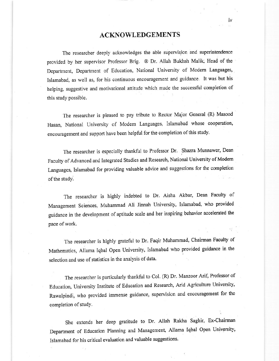#### ACKNOWLEDGEMENTS

The researcher deeply acknowledges the able supervision and superintendence provided by her supervisor Professor Brig. ® Dr. Allah Bukhsh Malik, Head of the Department, Department of Education, National University of Modern Languages, Islamabad, as well as, for his continuous encouragement and guidance. It was but his helping, suggestive and motivational attitude which made the successful completion of this study possible.

The researcher is pleased to pay tribute to Rector Major General (R) Masood Hasan, National University of Modem Languages, Islamabad whose cooperation, encouragement and support have been helpful for the completion of this study.

The researcher is especially thankful to Professor Dr. Shazra Munnawer, Dean Faculty of Advanced and Integrated Studies and Research, National University of Modern Languages, Islamabad for providing valuable advice and suggestions for the completion of the study.

The researcher is highly indebted to Dr. Aisha Akbar, Dean Faculty of Management Sciences, Muhammad Ali Jinnah University, lslamabad, who provided guidance in the development of aptitude scale and her inspiring behavior accelerated the pace of work.

The researcher is highly grateful to Dr. Faqir Muhammad, Chairman Faculty of Mathematics, Allama Iqbal Open University, Islamabad who provided guidance in the selection and use of statistics in the analysis of data.

The researcher is particularly thankful to Col. (R) Dr. Manzoor Arif, Professor of Education, University Institute of Education and Research, Arid Agriculture University, Rawalpindi, who provided immense guidance, supervision and encouragement for the completion of study.

She extends her deep gratitude to Dr. Allah Rakha Saghir, Ex-Chairman Department of Education Planning and Management, Allama Iqbal Open University, lslamabad for his critical evaluation and valuable suggestions'

iv